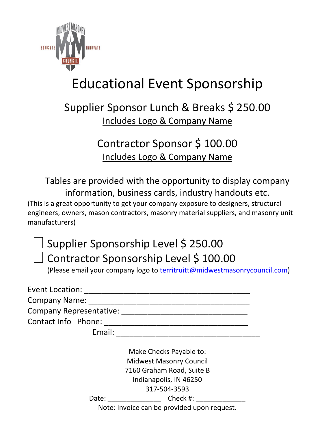

## Educational Event Sponsorship

## Supplier Sponsor Lunch & Breaks \$ 250.00 Includes Logo & Company Name

## Contractor Sponsor \$ 100.00 Includes Logo & Company Name

Tables are provided with the opportunity to display company information, business cards, industry handouts etc. (This is a great opportunity to get your company exposure to designers, structural engineers, owners, mason contractors, masonry material suppliers, and masonry unit manufacturers)

## □ Supplier Sponsorship Level \$ 250.00 □ Contractor Sponsorship Level \$ 100.00

(Please email your company logo to [territruitt@midwestmasonrycouncil.com\)](mailto:territruitt@midwestmasonrycouncil.com)

| Event Location:                |  |
|--------------------------------|--|
| <b>Company Name:</b>           |  |
| <b>Company Representative:</b> |  |
| Contact Info Phone:            |  |
| Email:                         |  |

Make Checks Payable to: Midwest Masonry Council 7160 Graham Road, Suite B Indianapolis, IN 46250 317-504-3593 Date: Check #:

Note: Invoice can be provided upon request.